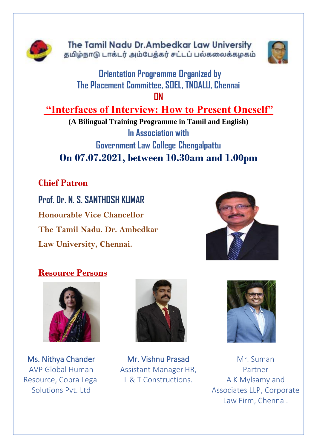

The Tamil Nadu Dr. Ambedkar Law University தமிழ்நாடு டாக்டர் அம்பேத்கர் சட்டப் பல்கலைக்கழகம்



# **Orientation Programme Organized by The Placement Committee, SOEL, TNDALU, Chennai ON**

# **"Interfaces of Interview: How to Present Oneself"**

**(A Bilingual Training Programme in Tamil and English) In Association with Government Law College Chengalpattu On 07.07.2021, between 10.30am and 1.00pm**

# **Chief Patron**

**Prof. Dr. N. S. SANTHOSH KUMAR Honourable Vice Chancellor The Tamil Nadu. Dr. Ambedkar Law University, Chennai.**



# **Resource Persons**



Ms. Nithya Chander AVP Global Human Resource, Cobra Legal Solutions Pvt. Ltd



Mr. Vishnu Prasad Assistant Manager HR, L & T Constructions.



Mr. Suman Partner A K Mylsamy and Associates LLP, Corporate Law Firm, Chennai.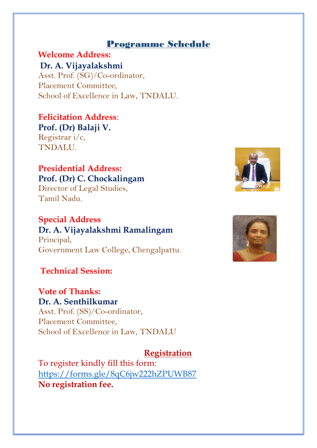#### Programme Schedule

**Welcome Address: Dr. A. Vijayalakshmi** Asst. Prof. (SG)/Co-ordinator, Placement Committee, School of Excellence in Law, TNDALU.

**Felicitation Address**: **Prof. (Dr) Balaji V.** Registrar i/c, TNDALU.

#### **Presidential Address: Prof. (Dr) C. Chockalingam**

Director of Legal Studies, Tamil Nadu.

**Special Address Dr. A. Vijayalakshmi Ramalingam** Principal, Government Law College, Chengalpattu.

### **Technical Session:**

#### **Vote of Thanks: Dr. A. Senthilkumar**

Asst. Prof. (SS)/Co-ordinator, Placement Committee, School of Excellence in Law, TNDALU

### **Registration**

To register kindly fill this form: <https://forms.gle/8qC6jw222hZPUWB87> **No registration fee.**